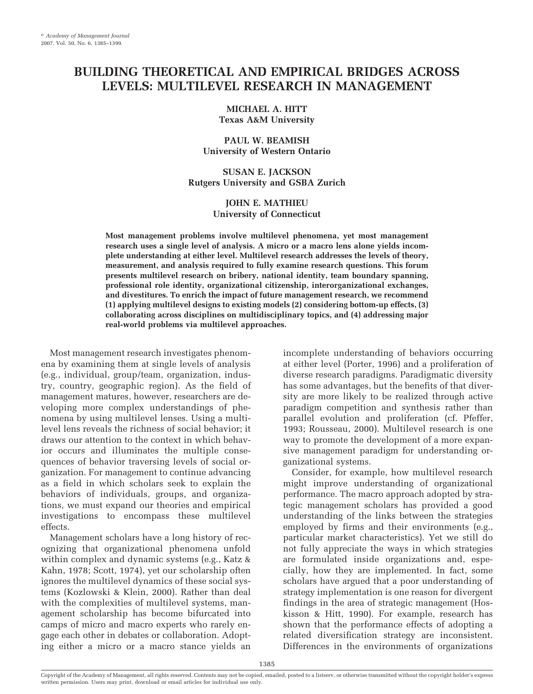# **BUILDING THEORETICAL AND EMPIRICAL BRIDGES ACROSS LEVELS: MULTILEVEL RESEARCH IN MANAGEMENT**

**MICHAEL A. HITT Texas A&M University**

**PAUL W. BEAMISH University of Western Ontario**

**SUSAN E. JACKSON Rutgers University and GSBA Zurich**

## **JOHN E. MATHIEU University of Connecticut**

**Most management problems involve multilevel phenomena, yet most management research uses a single level of analysis. A micro or a macro lens alone yields incomplete understanding at either level. Multilevel research addresses the levels of theory, measurement, and analysis required to fully examine research questions. This forum presents multilevel research on bribery, national identity, team boundary spanning, professional role identity, organizational citizenship, interorganizational exchanges, and divestitures. To enrich the impact of future management research, we recommend (1) applying multilevel designs to existing models (2) considering bottom-up effects, (3) collaborating across disciplines on multidisciplinary topics, and (4) addressing major real-world problems via multilevel approaches.**

Most management research investigates phenomena by examining them at single levels of analysis (e.g., individual, group/team, organization, industry, country, geographic region). As the field of management matures, however, researchers are developing more complex understandings of phenomena by using multilevel lenses. Using a multilevel lens reveals the richness of social behavior; it draws our attention to the context in which behavior occurs and illuminates the multiple consequences of behavior traversing levels of social organization. For management to continue advancing as a field in which scholars seek to explain the behaviors of individuals, groups, and organizations, we must expand our theories and empirical investigations to encompass these multilevel effects.

Management scholars have a long history of recognizing that organizational phenomena unfold within complex and dynamic systems (e.g., Katz & Kahn, 1978; Scott, 1974), yet our scholarship often ignores the multilevel dynamics of these social systems (Kozlowski & Klein, 2000). Rather than deal with the complexities of multilevel systems, management scholarship has become bifurcated into camps of micro and macro experts who rarely engage each other in debates or collaboration. Adopting either a micro or a macro stance yields an

incomplete understanding of behaviors occurring at either level (Porter, 1996) and a proliferation of diverse research paradigms. Paradigmatic diversity has some advantages, but the benefits of that diversity are more likely to be realized through active paradigm competition and synthesis rather than parallel evolution and proliferation (cf. Pfeffer, 1993; Rousseau, 2000). Multilevel research is one way to promote the development of a more expansive management paradigm for understanding organizational systems.

Consider, for example, how multilevel research might improve understanding of organizational performance. The macro approach adopted by strategic management scholars has provided a good understanding of the links between the strategies employed by firms and their environments (e.g., particular market characteristics). Yet we still do not fully appreciate the ways in which strategies are formulated inside organizations and, especially, how they are implemented. In fact, some scholars have argued that a poor understanding of strategy implementation is one reason for divergent findings in the area of strategic management (Hoskisson & Hitt, 1990). For example, research has shown that the performance effects of adopting a related diversification strategy are inconsistent. Differences in the environments of organizations

Copyright of the Academy of Management, all rights reserved. Contents may not be copied, emailed, posted to a listserv, or otherwise transmitted without the copyright holder's express written permission. Users may print, download or email articles for individual use only.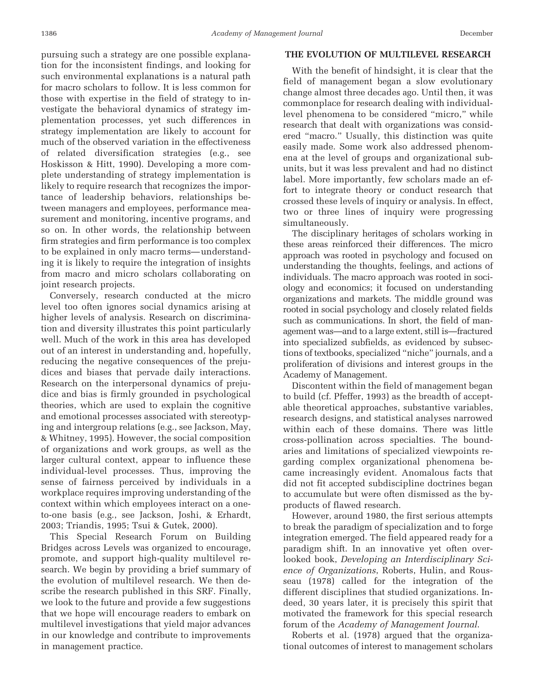pursuing such a strategy are one possible explanation for the inconsistent findings, and looking for such environmental explanations is a natural path for macro scholars to follow. It is less common for those with expertise in the field of strategy to investigate the behavioral dynamics of strategy implementation processes, yet such differences in strategy implementation are likely to account for much of the observed variation in the effectiveness of related diversification strategies (e.g., see Hoskisson & Hitt, 1990). Developing a more complete understanding of strategy implementation is likely to require research that recognizes the importance of leadership behaviors, relationships between managers and employees, performance measurement and monitoring, incentive programs, and so on. In other words, the relationship between firm strategies and firm performance is too complex to be explained in only macro terms—understanding it is likely to require the integration of insights from macro and micro scholars collaborating on joint research projects.

Conversely, research conducted at the micro level too often ignores social dynamics arising at higher levels of analysis. Research on discrimination and diversity illustrates this point particularly well. Much of the work in this area has developed out of an interest in understanding and, hopefully, reducing the negative consequences of the prejudices and biases that pervade daily interactions. Research on the interpersonal dynamics of prejudice and bias is firmly grounded in psychological theories, which are used to explain the cognitive and emotional processes associated with stereotyping and intergroup relations (e.g., see Jackson, May, & Whitney, 1995). However, the social composition of organizations and work groups, as well as the larger cultural context, appear to influence these individual-level processes. Thus, improving the sense of fairness perceived by individuals in a workplace requires improving understanding of the context within which employees interact on a oneto-one basis (e.g., see Jackson, Joshi, & Erhardt, 2003; Triandis, 1995; Tsui & Gutek, 2000).

This Special Research Forum on Building Bridges across Levels was organized to encourage, promote, and support high-quality multilevel research. We begin by providing a brief summary of the evolution of multilevel research. We then describe the research published in this SRF. Finally, we look to the future and provide a few suggestions that we hope will encourage readers to embark on multilevel investigations that yield major advances in our knowledge and contribute to improvements in management practice.

## **THE EVOLUTION OF MULTILEVEL RESEARCH**

With the benefit of hindsight, it is clear that the field of management began a slow evolutionary change almost three decades ago. Until then, it was commonplace for research dealing with individuallevel phenomena to be considered "micro," while research that dealt with organizations was considered "macro." Usually, this distinction was quite easily made. Some work also addressed phenomena at the level of groups and organizational subunits, but it was less prevalent and had no distinct label. More importantly, few scholars made an effort to integrate theory or conduct research that crossed these levels of inquiry or analysis. In effect, two or three lines of inquiry were progressing simultaneously.

The disciplinary heritages of scholars working in these areas reinforced their differences. The micro approach was rooted in psychology and focused on understanding the thoughts, feelings, and actions of individuals. The macro approach was rooted in sociology and economics; it focused on understanding organizations and markets. The middle ground was rooted in social psychology and closely related fields such as communications. In short, the field of management was—and to a large extent, still is—fractured into specialized subfields, as evidenced by subsections of textbooks, specialized "niche" journals, and a proliferation of divisions and interest groups in the Academy of Management.

Discontent within the field of management began to build (cf. Pfeffer, 1993) as the breadth of acceptable theoretical approaches, substantive variables, research designs, and statistical analyses narrowed within each of these domains. There was little cross-pollination across specialties. The boundaries and limitations of specialized viewpoints regarding complex organizational phenomena became increasingly evident. Anomalous facts that did not fit accepted subdiscipline doctrines began to accumulate but were often dismissed as the byproducts of flawed research.

However, around 1980, the first serious attempts to break the paradigm of specialization and to forge integration emerged. The field appeared ready for a paradigm shift. In an innovative yet often overlooked book, *Developing an Interdisciplinary Science of Organizations*, Roberts, Hulin, and Rousseau (1978) called for the integration of the different disciplines that studied organizations. Indeed, 30 years later, it is precisely this spirit that motivated the framework for this special research forum of the *Academy of Management Journal*.

Roberts et al. (1978) argued that the organizational outcomes of interest to management scholars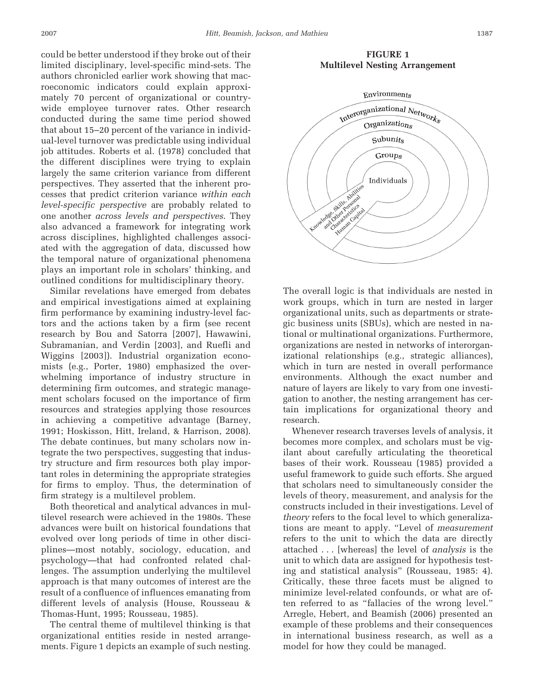could be better understood if they broke out of their limited disciplinary, level-specific mind-sets. The authors chronicled earlier work showing that macroeconomic indicators could explain approximately 70 percent of organizational or countrywide employee turnover rates. Other research conducted during the same time period showed that about 15–20 percent of the variance in individual-level turnover was predictable using individual job attitudes. Roberts et al. (1978) concluded that the different disciplines were trying to explain largely the same criterion variance from different perspectives. They asserted that the inherent processes that predict criterion variance *within each level-specific perspective* are probably related to one another *across levels and perspectives*. They also advanced a framework for integrating work across disciplines, highlighted challenges associated with the aggregation of data, discussed how the temporal nature of organizational phenomena plays an important role in scholars' thinking, and outlined conditions for multidisciplinary theory.

Similar revelations have emerged from debates and empirical investigations aimed at explaining firm performance by examining industry-level factors and the actions taken by a firm (see recent research by Bou and Satorra [2007], Hawawini, Subramanian, and Verdin [2003], and Ruefli and Wiggins [2003]). Industrial organization economists (e.g., Porter, 1980) emphasized the overwhelming importance of industry structure in determining firm outcomes, and strategic management scholars focused on the importance of firm resources and strategies applying those resources in achieving a competitive advantage (Barney, 1991; Hoskisson, Hitt, Ireland, & Harrison, 2008). The debate continues, but many scholars now integrate the two perspectives, suggesting that industry structure and firm resources both play important roles in determining the appropriate strategies for firms to employ. Thus, the determination of firm strategy is a multilevel problem.

Both theoretical and analytical advances in multilevel research were achieved in the 1980s. These advances were built on historical foundations that evolved over long periods of time in other disciplines—most notably, sociology, education, and psychology—that had confronted related challenges. The assumption underlying the multilevel approach is that many outcomes of interest are the result of a confluence of influences emanating from different levels of analysis (House, Rousseau & Thomas-Hunt, 1995; Rousseau, 1985).

The central theme of multilevel thinking is that organizational entities reside in nested arrangements. Figure 1 depicts an example of such nesting.

The overall logic is that individuals are nested in work groups, which in turn are nested in larger organizational units, such as departments or strategic business units (SBUs), which are nested in national or multinational organizations. Furthermore, organizations are nested in networks of interorganizational relationships (e.g., strategic alliances), which in turn are nested in overall performance environments. Although the exact number and nature of layers are likely to vary from one investigation to another, the nesting arrangement has certain implications for organizational theory and research.

**FIGURE 1 Multilevel Nesting Arrangement**



Whenever research traverses levels of analysis, it becomes more complex, and scholars must be vigilant about carefully articulating the theoretical bases of their work. Rousseau (1985) provided a useful framework to guide such efforts. She argued that scholars need to simultaneously consider the levels of theory, measurement, and analysis for the constructs included in their investigations. Level of *theory* refers to the focal level to which generalizations are meant to apply. "Level of *measurement* refers to the unit to which the data are directly attached . . . [whereas] the level of *analysis* is the unit to which data are assigned for hypothesis testing and statistical analysis" (Rousseau, 1985: 4). Critically, these three facets must be aligned to minimize level-related confounds, or what are often referred to as "fallacies of the wrong level." Arregle, Hebert, and Beamish (2006) presented an example of these problems and their consequences in international business research, as well as a model for how they could be managed.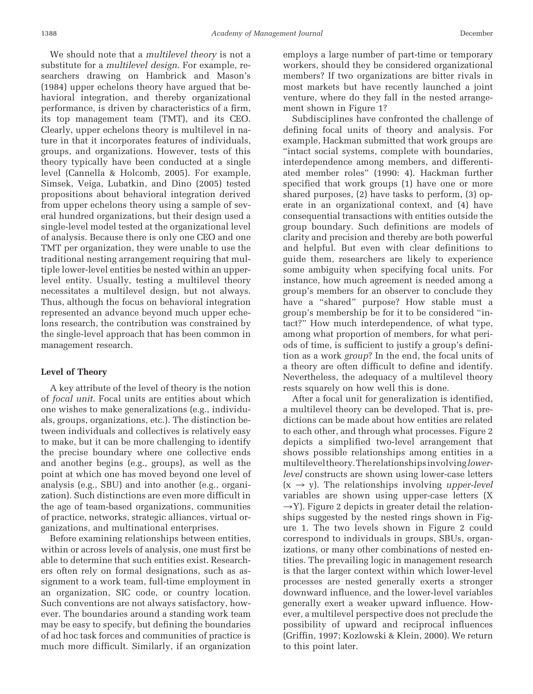We should note that a *multilevel theory* is not a substitute for a *multilevel design*. For example, researchers drawing on Hambrick and Mason's (1984) upper echelons theory have argued that behavioral integration, and thereby organizational performance, is driven by characteristics of a firm, its top management team (TMT), and its CEO. Clearly, upper echelons theory is multilevel in nature in that it incorporates features of individuals, groups, and organizations. However, tests of this theory typically have been conducted at a single level (Cannella & Holcomb, 2005). For example, Simsek, Veiga, Lubatkin, and Dino (2005) tested propositions about behavioral integration derived from upper echelons theory using a sample of several hundred organizations, but their design used a single-level model tested at the organizational level of analysis. Because there is only one CEO and one TMT per organization, they were unable to use the traditional nesting arrangement requiring that multiple lower-level entities be nested within an upperlevel entity. Usually, testing a multilevel theory necessitates a multilevel design, but not always. Thus, although the focus on behavioral integration represented an advance beyond much upper echelons research, the contribution was constrained by the single-level approach that has been common in management research.

#### **Level of Theory**

A key attribute of the level of theory is the notion of *focal unit*. Focal units are entities about which one wishes to make generalizations (e.g., individuals, groups, organizations, etc.). The distinction between individuals and collectives is relatively easy to make, but it can be more challenging to identify the precise boundary where one collective ends and another begins (e.g., groups), as well as the point at which one has moved beyond one level of analysis (e.g., SBU) and into another (e.g., organization). Such distinctions are even more difficult in the age of team-based organizations, communities of practice, networks, strategic alliances, virtual organizations, and multinational enterprises.

Before examining relationships between entities, within or across levels of analysis, one must first be able to determine that such entities exist. Researchers often rely on formal designations, such as assignment to a work team, full-time employment in an organization, SIC code, or country location. Such conventions are not always satisfactory, however. The boundaries around a standing work team may be easy to specify, but defining the boundaries of ad hoc task forces and communities of practice is much more difficult. Similarly, if an organization

employs a large number of part-time or temporary workers, should they be considered organizational members? If two organizations are bitter rivals in most markets but have recently launched a joint venture, where do they fall in the nested arrangement shown in Figure 1?

Subdisciplines have confronted the challenge of defining focal units of theory and analysis. For example, Hackman submitted that work groups are "intact social systems, complete with boundaries, interdependence among members, and differentiated member roles" (1990: 4). Hackman further specified that work groups (1) have one or more shared purposes, (2) have tasks to perform, (3) operate in an organizational context, and (4) have consequential transactions with entities outside the group boundary. Such definitions are models of clarity and precision and thereby are both powerful and helpful. But even with clear definitions to guide them, researchers are likely to experience some ambiguity when specifying focal units. For instance, how much agreement is needed among a group's members for an observer to conclude they have a "shared" purpose? How stable must a group's membership be for it to be considered "intact?" How much interdependence, of what type, among what proportion of members, for what periods of time, is sufficient to justify a group's definition as a work *group*? In the end, the focal units of a theory are often difficult to define and identify. Nevertheless, the adequacy of a multilevel theory rests squarely on how well this is done.

After a focal unit for generalization is identified, a multilevel theory can be developed. That is, predictions can be made about how entities are related to each other, and through what processes. Figure 2 depicts a simplified two-level arrangement that shows possible relationships among entities in a multilevel theory.Therelationships involving*lowerlevel* constructs are shown using lower-case letters  $(x \rightarrow y)$ . The relationships involving *upper-level* variables are shown using upper-case letters (X  $\rightarrow$ Y). Figure 2 depicts in greater detail the relationships suggested by the nested rings shown in Figure 1. The two levels shown in Figure 2 could correspond to individuals in groups, SBUs, organizations, or many other combinations of nested entities. The prevailing logic in management research is that the larger context within which lower-level processes are nested generally exerts a stronger downward influence, and the lower-level variables generally exert a weaker upward influence. However, a multilevel perspective does not preclude the possibility of upward and reciprocal influences (Griffin, 1997; Kozlowski & Klein, 2000). We return to this point later.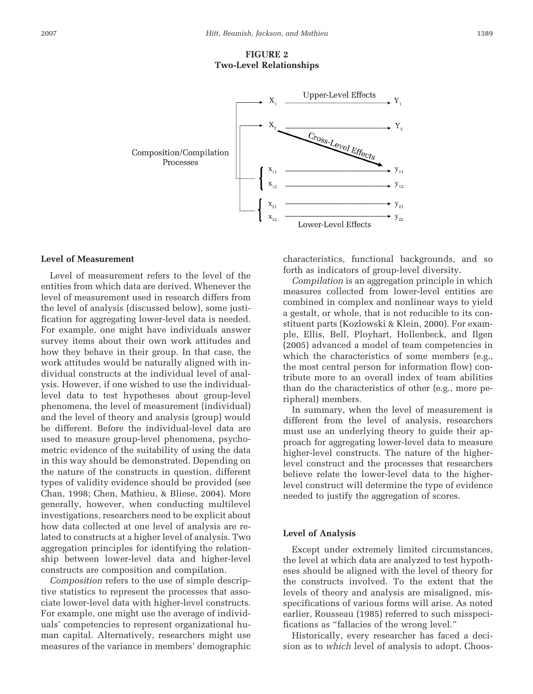#### **FIGURE 2 Two-Level Relationships**



#### **Level of Measurement**

Level of measurement refers to the level of the entities from which data are derived. Whenever the level of measurement used in research differs from the level of analysis (discussed below), some justification for aggregating lower-level data is needed. For example, one might have individuals answer survey items about their own work attitudes and how they behave in their group. In that case, the work attitudes would be naturally aligned with individual constructs at the individual level of analysis. However, if one wished to use the individuallevel data to test hypotheses about group-level phenomena, the level of measurement (individual) and the level of theory and analysis (group) would be different. Before the individual-level data are used to measure group-level phenomena, psychometric evidence of the suitability of using the data in this way should be demonstrated. Depending on the nature of the constructs in question, different types of validity evidence should be provided (see Chan, 1998; Chen, Mathieu, & Bliese, 2004). More generally, however, when conducting multilevel investigations, researchers need to be explicit about how data collected at one level of analysis are related to constructs at a higher level of analysis. Two aggregation principles for identifying the relationship between lower-level data and higher-level constructs are composition and compilation.

*Composition* refers to the use of simple descriptive statistics to represent the processes that associate lower-level data with higher-level constructs. For example, one might use the average of individuals' competencies to represent organizational human capital. Alternatively, researchers might use measures of the variance in members' demographic characteristics, functional backgrounds, and so forth as indicators of group-level diversity.

*Compilation* is an aggregation principle in which measures collected from lower-level entities are combined in complex and nonlinear ways to yield a gestalt, or whole, that is not reducible to its constituent parts (Kozlowski & Klein, 2000). For example, Ellis, Bell, Ployhart, Hollenbeck, and Ilgen (2005) advanced a model of team competencies in which the characteristics of some members (e.g., the most central person for information flow) contribute more to an overall index of team abilities than do the characteristics of other (e.g., more peripheral) members.

In summary, when the level of measurement is different from the level of analysis, researchers must use an underlying theory to guide their approach for aggregating lower-level data to measure higher-level constructs. The nature of the higherlevel construct and the processes that researchers believe relate the lower-level data to the higherlevel construct will determine the type of evidence needed to justify the aggregation of scores.

#### **Level of Analysis**

Except under extremely limited circumstances, the level at which data are analyzed to test hypotheses should be aligned with the level of theory for the constructs involved. To the extent that the levels of theory and analysis are misaligned, misspecifications of various forms will arise. As noted earlier, Rousseau (1985) referred to such misspecifications as "fallacies of the wrong level."

Historically, every researcher has faced a decision as to *which* level of analysis to adopt. Choos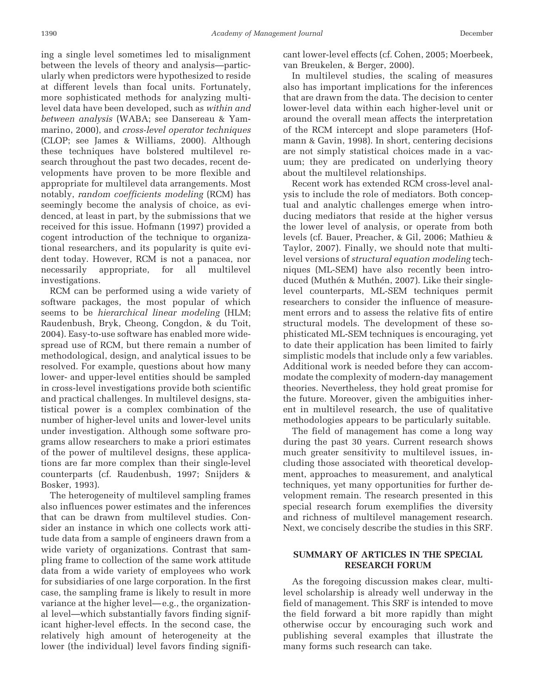ing a single level sometimes led to misalignment between the levels of theory and analysis—particularly when predictors were hypothesized to reside at different levels than focal units. Fortunately, more sophisticated methods for analyzing multilevel data have been developed, such as *within and between analysis* (WABA; see Dansereau & Yammarino, 2000), and *cross-level operator techniques* (CLOP; see James & Williams, 2000). Although these techniques have bolstered multilevel research throughout the past two decades, recent developments have proven to be more flexible and appropriate for multilevel data arrangements. Most notably, *random coefficients modeling* (RCM) has seemingly become the analysis of choice, as evidenced, at least in part, by the submissions that we received for this issue. Hofmann (1997) provided a cogent introduction of the technique to organizational researchers, and its popularity is quite evident today. However, RCM is not a panacea, nor necessarily appropriate, for all multilevel investigations.

RCM can be performed using a wide variety of software packages, the most popular of which seems to be *hierarchical linear modeling* (HLM; Raudenbush, Bryk, Cheong, Congdon, & du Toit, 2004). Easy-to-use software has enabled more widespread use of RCM, but there remain a number of methodological, design, and analytical issues to be resolved. For example, questions about how many lower- and upper-level entities should be sampled in cross-level investigations provide both scientific and practical challenges. In multilevel designs, statistical power is a complex combination of the number of higher-level units and lower-level units under investigation. Although some software programs allow researchers to make a priori estimates of the power of multilevel designs, these applications are far more complex than their single-level counterparts (cf. Raudenbush, 1997; Snijders & Bosker, 1993).

The heterogeneity of multilevel sampling frames also influences power estimates and the inferences that can be drawn from multilevel studies. Consider an instance in which one collects work attitude data from a sample of engineers drawn from a wide variety of organizations. Contrast that sampling frame to collection of the same work attitude data from a wide variety of employees who work for subsidiaries of one large corporation. In the first case, the sampling frame is likely to result in more variance at the higher level— e.g., the organizational level—which substantially favors finding significant higher-level effects. In the second case, the relatively high amount of heterogeneity at the lower (the individual) level favors finding significant lower-level effects (cf. Cohen, 2005; Moerbeek, van Breukelen, & Berger, 2000).

In multilevel studies, the scaling of measures also has important implications for the inferences that are drawn from the data. The decision to center lower-level data within each higher-level unit or around the overall mean affects the interpretation of the RCM intercept and slope parameters (Hofmann & Gavin, 1998). In short, centering decisions are not simply statistical choices made in a vacuum; they are predicated on underlying theory about the multilevel relationships.

Recent work has extended RCM cross-level analysis to include the role of mediators. Both conceptual and analytic challenges emerge when introducing mediators that reside at the higher versus the lower level of analysis, or operate from both levels (cf. Bauer, Preacher, & Gil, 2006; Mathieu & Taylor, 2007). Finally, we should note that multilevel versions of *structural equation modeling* techniques (ML-SEM) have also recently been introduced (Muthén & Muthén, 2007). Like their singlelevel counterparts, ML-SEM techniques permit researchers to consider the influence of measurement errors and to assess the relative fits of entire structural models. The development of these sophisticated ML-SEM techniques is encouraging, yet to date their application has been limited to fairly simplistic models that include only a few variables. Additional work is needed before they can accommodate the complexity of modern-day management theories. Nevertheless, they hold great promise for the future. Moreover, given the ambiguities inherent in multilevel research, the use of qualitative methodologies appears to be particularly suitable.

The field of management has come a long way during the past 30 years. Current research shows much greater sensitivity to multilevel issues, including those associated with theoretical development, approaches to measurement, and analytical techniques, yet many opportunities for further development remain. The research presented in this special research forum exemplifies the diversity and richness of multilevel management research. Next, we concisely describe the studies in this SRF.

## **SUMMARY OF ARTICLES IN THE SPECIAL RESEARCH FORUM**

As the foregoing discussion makes clear, multilevel scholarship is already well underway in the field of management. This SRF is intended to move the field forward a bit more rapidly than might otherwise occur by encouraging such work and publishing several examples that illustrate the many forms such research can take.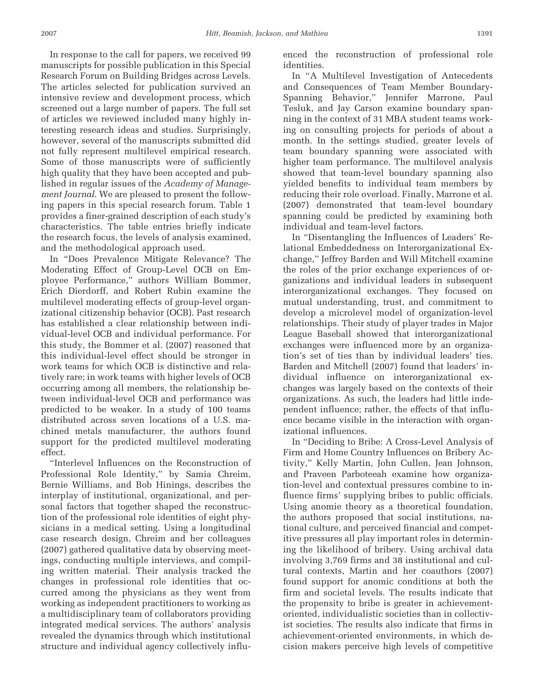In response to the call for papers, we received 99 manuscripts for possible publication in this Special Research Forum on Building Bridges across Levels. The articles selected for publication survived an intensive review and development process, which screened out a large number of papers. The full set of articles we reviewed included many highly interesting research ideas and studies. Surprisingly, however, several of the manuscripts submitted did not fully represent multilevel empirical research. Some of those manuscripts were of sufficiently high quality that they have been accepted and published in regular issues of the *Academy of Management Journal*. We are pleased to present the following papers in this special research forum. Table 1 provides a finer-grained description of each study's characteristics. The table entries briefly indicate the research focus, the levels of analysis examined, and the methodological approach used.

In "Does Prevalence Mitigate Relevance? The Moderating Effect of Group-Level OCB on Employee Performance," authors William Bommer, Erich Dierdorff, and Robert Rubin examine the multilevel moderating effects of group-level organizational citizenship behavior (OCB). Past research has established a clear relationship between individual-level OCB and individual performance. For this study, the Bommer et al. (2007) reasoned that this individual-level effect should be stronger in work teams for which OCB is distinctive and relatively rare; in work teams with higher levels of OCB occurring among all members, the relationship between individual-level OCB and performance was predicted to be weaker. In a study of 100 teams distributed across seven locations of a U.S. machined metals manufacturer, the authors found support for the predicted multilevel moderating effect.

"Interlevel Influences on the Reconstruction of Professional Role Identity," by Samia Chreim, Bernie Williams, and Bob Hinings, describes the interplay of institutional, organizational, and personal factors that together shaped the reconstruction of the professional role identities of eight physicians in a medical setting. Using a longitudinal case research design, Chreim and her colleagues (2007) gathered qualitative data by observing meetings, conducting multiple interviews, and compiling written material. Their analysis tracked the changes in professional role identities that occurred among the physicians as they went from working as independent practitioners to working as a multidisciplinary team of collaborators providing integrated medical services. The authors' analysis revealed the dynamics through which institutional structure and individual agency collectively influenced the reconstruction of professional role identities.

In "A Multilevel Investigation of Antecedents and Consequences of Team Member Boundary-Spanning Behavior," Jennifer Marrone, Paul Tesluk, and Jay Carson examine boundary spanning in the context of 31 MBA student teams working on consulting projects for periods of about a month. In the settings studied, greater levels of team boundary spanning were associated with higher team performance. The multilevel analysis showed that team-level boundary spanning also yielded benefits to individual team members by reducing their role overload. Finally, Marrone et al. (2007) demonstrated that team-level boundary spanning could be predicted by examining both individual and team-level factors.

In "Disentangling the Influences of Leaders' Relational Embeddedness on Interorganizational Exchange," Jeffrey Barden and Will Mitchell examine the roles of the prior exchange experiences of organizations and individual leaders in subsequent interorganizational exchanges. They focused on mutual understanding, trust, and commitment to develop a microlevel model of organization-level relationships. Their study of player trades in Major League Baseball showed that interorganizational exchanges were influenced more by an organization's set of ties than by individual leaders' ties. Barden and Mitchell (2007) found that leaders' individual influence on interorganizational exchanges was largely based on the contexts of their organizations. As such, the leaders had little independent influence; rather, the effects of that influence became visible in the interaction with organizational influences.

In "Deciding to Bribe: A Cross-Level Analysis of Firm and Home Country Influences on Bribery Activity," Kelly Martin, John Cullen, Jean Johnson, and Praveen Parboteeah examine how organization-level and contextual pressures combine to influence firms' supplying bribes to public officials. Using anomie theory as a theoretical foundation, the authors proposed that social institutions, national culture, and perceived financial and competitive pressures all play important roles in determining the likelihood of bribery. Using archival data involving 3,769 firms and 38 institutional and cultural contexts, Martin and her coauthors (2007) found support for anomic conditions at both the firm and societal levels. The results indicate that the propensity to bribe is greater in achievementoriented, individualistic societies than in collectivist societies. The results also indicate that firms in achievement-oriented environments, in which decision makers perceive high levels of competitive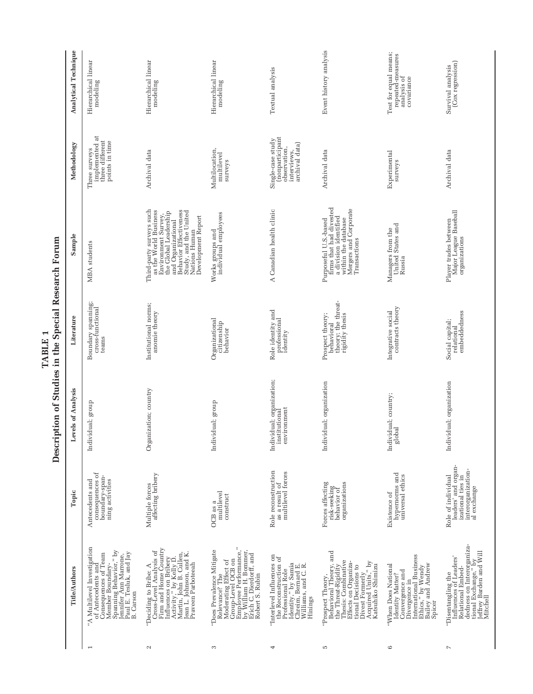|                                                                                                                                                                                                                                                      |                                                                                                     | Description of Studies in the Special Research Forum     |                                                                          |                                                                                                                                                                                                          |                                                                                       |                                                                         |
|------------------------------------------------------------------------------------------------------------------------------------------------------------------------------------------------------------------------------------------------------|-----------------------------------------------------------------------------------------------------|----------------------------------------------------------|--------------------------------------------------------------------------|----------------------------------------------------------------------------------------------------------------------------------------------------------------------------------------------------------|---------------------------------------------------------------------------------------|-------------------------------------------------------------------------|
| Title/Authors                                                                                                                                                                                                                                        | Topic                                                                                               | Levels of Analysis                                       | Literature                                                               | Sample                                                                                                                                                                                                   | Methodology                                                                           | Analytical Technique                                                    |
| "A Multilevel Investigation<br>$\begin{array}{l} \mbox{Spanning Behavior, " by}\\ \mbox{femifier Ann Marrone,} \end{array}$<br>Paul E. Tesluk, and Jay<br>Consequences of Team<br>Member Boundary-<br>of Antecedents and<br>B. Carson                | consequences of<br>boundary-span-<br>Antecedents and<br>ning activities                             | Individual; group                                        | Boundary spanning;<br>cross-functional<br>teams                          | MBA students                                                                                                                                                                                             | Three surveys<br>implemented at<br>three different<br>points in time                  | Hierarchical linear<br>modeling                                         |
| Firm and Home Country<br>"Deciding to Bribe: A<br>Cross-Level Analysis of<br>Influences on Bribery<br>Activity," by Kelly D.<br>Martin, John B. Cullen,<br>ean L. Johnson, and K.<br>Praveen Parboteeah                                              | affecting bribery<br>Multiple forces                                                                | Organization; country                                    | Institutional norms;<br>anomie theory                                    | Third-party surveys such as the World Business Environment Survey, the Global Leadership<br>and Organizational<br>Behavior Effectiveness<br>Study, and the United<br>Nations Human<br>Development Report | Archival data                                                                         | Hierarchical linear<br>modeling                                         |
| $\begin{array}{l} \text{Modending Effect of}\\ \text{Group-Level OCB on}\\ \text{Employee Performance},\\ \text{by William H. Bommer}, \end{array}$<br>"Does Prevalence Mitigate<br>Erich C. Dierdorff, and<br>Robert S. Rubin<br>Relevance? The     | multilevel<br>construct<br>OCB as a                                                                 | Individual; group                                        | Organizational<br>citizenship<br>behavior                                | Works groups and<br>individual employees                                                                                                                                                                 | Multilocation,<br>multilevel<br>surveys                                               | Hierarchical linear<br>modeling                                         |
| "Interlevel Influences on<br>the Reconstruction of<br>$\begin{array}{c} \text{Identity, " by Samia}\\ \text{Chreim, Bernard E}\\ \text{Williams, and C. R}. \end{array}$<br>Professional Role<br>Hinings                                             | Role reconstruction<br>as a result of<br>multilevel forces                                          | Individual; organization;<br>environment<br>institutiona | Role identity and<br>professional<br>identity                            | A Canadian health clinic                                                                                                                                                                                 | Single-case study<br>(nonparticipant<br>archival data)<br>observation,<br>interviews, | Textual analysis                                                        |
| Behavioral Theory, and<br>Thesis: Combinative<br>Effects on Organiza-<br>$\mathbf{A}_{\alpha}$ , $\mathbf{A}_{\alpha}$<br>Katsuhiko Shimizu<br>the Threat-Rigidity<br>tional Decisions to<br>Divest Formerly<br>"Prospect Theory,<br>Acquired Units, | organizations<br>Forces affecting<br>risk-seeking<br>behavior of                                    | Individual; organization                                 | theory; the threat-<br>rigidity thesis<br>Prospect theory;<br>behavioral | firms that had divested<br>Mergers and Corporate<br>Transactions<br>a division identified<br>within the database<br>Purposeful U.S.-based                                                                | Archival data                                                                         | Event history analysis                                                  |
| International Business<br>Ethics," by Wendy<br>Bailey and Andrew<br>"When Does National<br>Convergence and<br>Identity Matter?<br>Divergence in<br>Spicer                                                                                            | hypernorms and<br>universal ethics<br>Existence of                                                  | Individual; country;<br>global                           | contracts theory<br>Integrative social                                   | Managers from the<br>United States and<br>Russia                                                                                                                                                         | Experimental<br>surveys                                                               | Test for equal means;<br>repeated-measures<br>analysis of<br>covariance |
| dedness on Interorganiza-<br>tional Exchange," $\stackrel{\leftrightarrow}{by}$<br>Jeffrey Barden and Will<br>"Disentangling the<br>Influences of Leaders'<br>Relational Embed-<br>Mitchell                                                          | Role of individual<br>leaders' and organ-<br>izational ties in<br>interorganization-<br>al exchange | Individual; organization                                 | embeddedness<br>Social capital;<br>relational                            | Player trades between<br>Major League Baseball<br>organizations                                                                                                                                          | Archival data                                                                         | (Cox regression)<br>Survival analysis                                   |

**Description of Studies in the Special Research Forum** h Fo  $\frac{1}{2}$  $\begin{array}{c} \text{TABLE 1} \ \text{s} \ \text{in the} \ \text{Sne} \end{array}$ **TABLE 1**  $\frac{1}{2}$  $\mathbf{f}$  C4. È ÷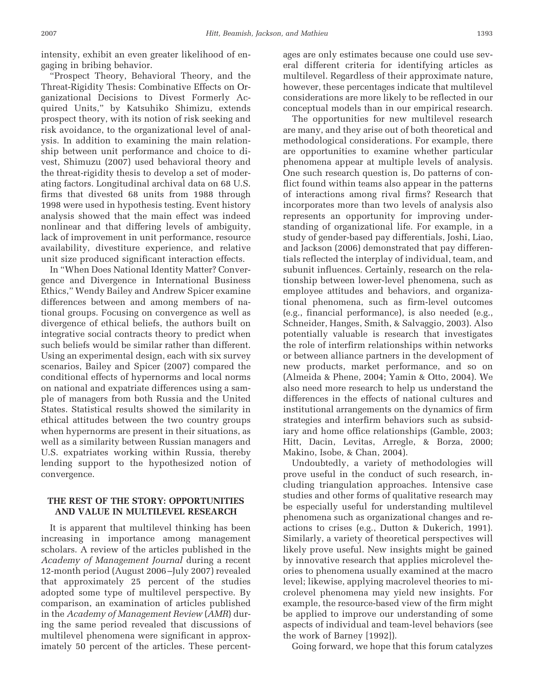intensity, exhibit an even greater likelihood of engaging in bribing behavior.

"Prospect Theory, Behavioral Theory, and the Threat-Rigidity Thesis: Combinative Effects on Organizational Decisions to Divest Formerly Acquired Units," by Katsuhiko Shimizu, extends prospect theory, with its notion of risk seeking and risk avoidance, to the organizational level of analysis. In addition to examining the main relationship between unit performance and choice to divest, Shimuzu (2007) used behavioral theory and the threat-rigidity thesis to develop a set of moderating factors. Longitudinal archival data on 68 U.S. firms that divested 68 units from 1988 through 1998 were used in hypothesis testing. Event history analysis showed that the main effect was indeed nonlinear and that differing levels of ambiguity, lack of improvement in unit performance, resource availability, divestiture experience, and relative unit size produced significant interaction effects.

In "When Does National Identity Matter? Convergence and Divergence in International Business Ethics," Wendy Bailey and Andrew Spicer examine differences between and among members of national groups. Focusing on convergence as well as divergence of ethical beliefs, the authors built on integrative social contracts theory to predict when such beliefs would be similar rather than different. Using an experimental design, each with six survey scenarios, Bailey and Spicer (2007) compared the conditional effects of hypernorms and local norms on national and expatriate differences using a sample of managers from both Russia and the United States. Statistical results showed the similarity in ethical attitudes between the two country groups when hypernorms are present in their situations, as well as a similarity between Russian managers and U.S. expatriates working within Russia, thereby lending support to the hypothesized notion of convergence.

### **THE REST OF THE STORY: OPPORTUNITIES AND VALUE IN MULTILEVEL RESEARCH**

It is apparent that multilevel thinking has been increasing in importance among management scholars. A review of the articles published in the *Academy of Management Journal* during a recent 12-month period (August 2006 –July 2007) revealed that approximately 25 percent of the studies adopted some type of multilevel perspective. By comparison, an examination of articles published in the *Academy of Management Review* (*AMR*) during the same period revealed that discussions of multilevel phenomena were significant in approximately 50 percent of the articles. These percentages are only estimates because one could use several different criteria for identifying articles as multilevel. Regardless of their approximate nature, however, these percentages indicate that multilevel considerations are more likely to be reflected in our conceptual models than in our empirical research.

The opportunities for new multilevel research are many, and they arise out of both theoretical and methodological considerations. For example, there are opportunities to examine whether particular phenomena appear at multiple levels of analysis. One such research question is, Do patterns of conflict found within teams also appear in the patterns of interactions among rival firms? Research that incorporates more than two levels of analysis also represents an opportunity for improving understanding of organizational life. For example, in a study of gender-based pay differentials, Joshi, Liao, and Jackson (2006) demonstrated that pay differentials reflected the interplay of individual, team, and subunit influences. Certainly, research on the relationship between lower-level phenomena, such as employee attitudes and behaviors, and organizational phenomena, such as firm-level outcomes (e.g., financial performance), is also needed (e.g., Schneider, Hanges, Smith, & Salvaggio, 2003). Also potentially valuable is research that investigates the role of interfirm relationships within networks or between alliance partners in the development of new products, market performance, and so on (Almeida & Phene, 2004; Yamin & Otto, 2004). We also need more research to help us understand the differences in the effects of national cultures and institutional arrangements on the dynamics of firm strategies and interfirm behaviors such as subsidiary and home office relationships (Gamble, 2003; Hitt, Dacin, Levitas, Arregle, & Borza, 2000; Makino, Isobe, & Chan, 2004).

Undoubtedly, a variety of methodologies will prove useful in the conduct of such research, including triangulation approaches. Intensive case studies and other forms of qualitative research may be especially useful for understanding multilevel phenomena such as organizational changes and reactions to crises (e.g., Dutton & Dukerich, 1991). Similarly, a variety of theoretical perspectives will likely prove useful. New insights might be gained by innovative research that applies microlevel theories to phenomena usually examined at the macro level; likewise, applying macrolevel theories to microlevel phenomena may yield new insights. For example, the resource-based view of the firm might be applied to improve our understanding of some aspects of individual and team-level behaviors (see the work of Barney [1992]).

Going forward, we hope that this forum catalyzes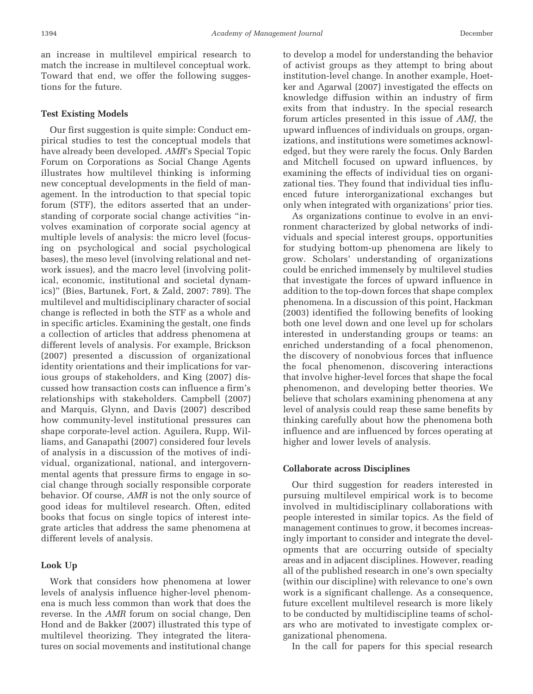an increase in multilevel empirical research to match the increase in multilevel conceptual work. Toward that end, we offer the following suggestions for the future.

#### **Test Existing Models**

Our first suggestion is quite simple: Conduct empirical studies to test the conceptual models that have already been developed. *AMR*'s Special Topic Forum on Corporations as Social Change Agents illustrates how multilevel thinking is informing new conceptual developments in the field of management. In the introduction to that special topic forum (STF), the editors asserted that an understanding of corporate social change activities "involves examination of corporate social agency at multiple levels of analysis: the micro level (focusing on psychological and social psychological bases), the meso level (involving relational and network issues), and the macro level (involving political, economic, institutional and societal dynamics)" (Bies, Bartunek, Fort, & Zald, 2007: 789). The multilevel and multidisciplinary character of social change is reflected in both the STF as a whole and in specific articles. Examining the gestalt, one finds a collection of articles that address phenomena at different levels of analysis. For example, Brickson (2007) presented a discussion of organizational identity orientations and their implications for various groups of stakeholders, and King (2007) discussed how transaction costs can influence a firm's relationships with stakeholders. Campbell (2007) and Marquis, Glynn, and Davis (2007) described how community-level institutional pressures can shape corporate-level action. Aguilera, Rupp, Williams, and Ganapathi (2007) considered four levels of analysis in a discussion of the motives of individual, organizational, national, and intergovernmental agents that pressure firms to engage in social change through socially responsible corporate behavior. Of course, *AMR* is not the only source of good ideas for multilevel research. Often, edited books that focus on single topics of interest integrate articles that address the same phenomena at different levels of analysis.

#### **Look Up**

Work that considers how phenomena at lower levels of analysis influence higher-level phenomena is much less common than work that does the reverse. In the *AMR* forum on social change, Den Hond and de Bakker (2007) illustrated this type of multilevel theorizing. They integrated the literatures on social movements and institutional change

to develop a model for understanding the behavior of activist groups as they attempt to bring about institution-level change. In another example, Hoetker and Agarwal (2007) investigated the effects on knowledge diffusion within an industry of firm exits from that industry. In the special research forum articles presented in this issue of *AMJ*, the upward influences of individuals on groups, organizations, and institutions were sometimes acknowledged, but they were rarely the focus. Only Barden and Mitchell focused on upward influences, by examining the effects of individual ties on organizational ties. They found that individual ties influenced future interorganizational exchanges but only when integrated with organizations' prior ties.

As organizations continue to evolve in an environment characterized by global networks of individuals and special interest groups, opportunities for studying bottom-up phenomena are likely to grow. Scholars' understanding of organizations could be enriched immensely by multilevel studies that investigate the forces of upward influence in addition to the top-down forces that shape complex phenomena. In a discussion of this point, Hackman (2003) identified the following benefits of looking both one level down and one level up for scholars interested in understanding groups or teams: an enriched understanding of a focal phenomenon, the discovery of nonobvious forces that influence the focal phenomenon, discovering interactions that involve higher-level forces that shape the focal phenomenon, and developing better theories. We believe that scholars examining phenomena at any level of analysis could reap these same benefits by thinking carefully about how the phenomena both influence and are influenced by forces operating at higher and lower levels of analysis.

#### **Collaborate across Disciplines**

Our third suggestion for readers interested in pursuing multilevel empirical work is to become involved in multidisciplinary collaborations with people interested in similar topics. As the field of management continues to grow, it becomes increasingly important to consider and integrate the developments that are occurring outside of specialty areas and in adjacent disciplines. However, reading all of the published research in one's own specialty (within our discipline) with relevance to one's own work is a significant challenge. As a consequence, future excellent multilevel research is more likely to be conducted by multidiscipline teams of scholars who are motivated to investigate complex organizational phenomena.

In the call for papers for this special research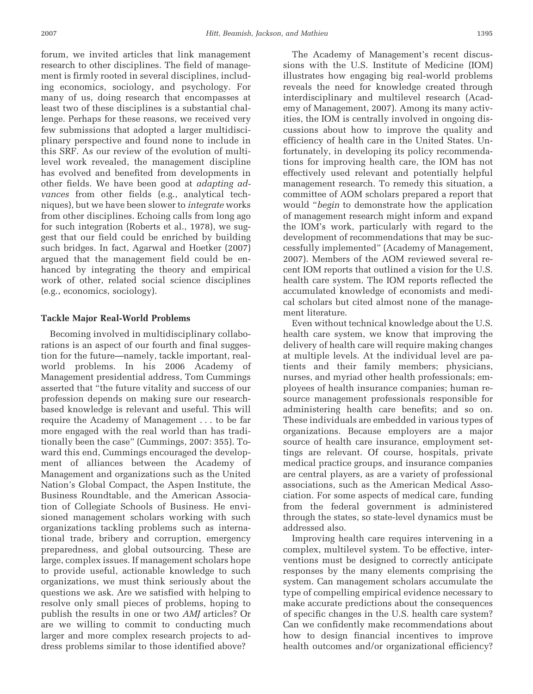forum, we invited articles that link management research to other disciplines. The field of management is firmly rooted in several disciplines, including economics, sociology, and psychology. For many of us, doing research that encompasses at least two of these disciplines is a substantial challenge. Perhaps for these reasons, we received very few submissions that adopted a larger multidisciplinary perspective and found none to include in this SRF. As our review of the evolution of multilevel work revealed, the management discipline has evolved and benefited from developments in other fields. We have been good at *adapting advances* from other fields (e.g., analytical techniques), but we have been slower to *integrate* works from other disciplines. Echoing calls from long ago for such integration (Roberts et al., 1978), we suggest that our field could be enriched by building such bridges. In fact, Agarwal and Hoetker (2007) argued that the management field could be enhanced by integrating the theory and empirical work of other, related social science disciplines (e.g., economics, sociology).

### **Tackle Major Real-World Problems**

Becoming involved in multidisciplinary collaborations is an aspect of our fourth and final suggestion for the future—namely, tackle important, realworld problems. In his 2006 Academy of Management presidential address, Tom Cummings asserted that "the future vitality and success of our profession depends on making sure our researchbased knowledge is relevant and useful. This will require the Academy of Management . . . to be far more engaged with the real world than has traditionally been the case" (Cummings, 2007: 355). Toward this end, Cummings encouraged the development of alliances between the Academy of Management and organizations such as the United Nation's Global Compact, the Aspen Institute, the Business Roundtable, and the American Association of Collegiate Schools of Business. He envisioned management scholars working with such organizations tackling problems such as international trade, bribery and corruption, emergency preparedness, and global outsourcing. These are large, complex issues. If management scholars hope to provide useful, actionable knowledge to such organizations, we must think seriously about the questions we ask. Are we satisfied with helping to resolve only small pieces of problems, hoping to publish the results in one or two *AMJ* articles? Or are we willing to commit to conducting much larger and more complex research projects to address problems similar to those identified above?

The Academy of Management's recent discussions with the U.S. Institute of Medicine (IOM) illustrates how engaging big real-world problems reveals the need for knowledge created through interdisciplinary and multilevel research (Academy of Management, 2007). Among its many activities, the IOM is centrally involved in ongoing discussions about how to improve the quality and efficiency of health care in the United States. Unfortunately, in developing its policy recommendations for improving health care, the IOM has not effectively used relevant and potentially helpful management research. To remedy this situation, a committee of AOM scholars prepared a report that would "*begin* to demonstrate how the application of management research might inform and expand the IOM's work, particularly with regard to the development of recommendations that may be successfully implemented" (Academy of Management, 2007). Members of the AOM reviewed several recent IOM reports that outlined a vision for the U.S. health care system. The IOM reports reflected the accumulated knowledge of economists and medical scholars but cited almost none of the management literature.

Even without technical knowledge about the U.S. health care system, we know that improving the delivery of health care will require making changes at multiple levels. At the individual level are patients and their family members; physicians, nurses, and myriad other health professionals; employees of health insurance companies; human resource management professionals responsible for administering health care benefits; and so on. These individuals are embedded in various types of organizations. Because employers are a major source of health care insurance, employment settings are relevant. Of course, hospitals, private medical practice groups, and insurance companies are central players, as are a variety of professional associations, such as the American Medical Association. For some aspects of medical care, funding from the federal government is administered through the states, so state-level dynamics must be addressed also.

Improving health care requires intervening in a complex, multilevel system. To be effective, interventions must be designed to correctly anticipate responses by the many elements comprising the system. Can management scholars accumulate the type of compelling empirical evidence necessary to make accurate predictions about the consequences of specific changes in the U.S. health care system? Can we confidently make recommendations about how to design financial incentives to improve health outcomes and/or organizational efficiency?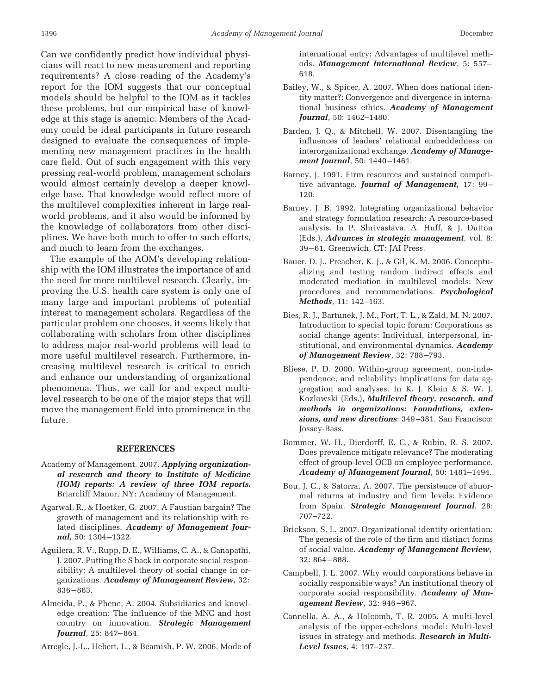Can we confidently predict how individual physicians will react to new measurement and reporting requirements? A close reading of the Academy's report for the IOM suggests that our conceptual models should be helpful to the IOM as it tackles these problems, but our empirical base of knowledge at this stage is anemic. Members of the Academy could be ideal participants in future research designed to evaluate the consequences of implementing new management practices in the health care field. Out of such engagement with this very pressing real-world problem, management scholars would almost certainly develop a deeper knowledge base. That knowledge would reflect more of the multilevel complexities inherent in large realworld problems, and it also would be informed by the knowledge of collaborators from other disciplines. We have both much to offer to such efforts, and much to learn from the exchanges.

The example of the AOM's developing relationship with the IOM illustrates the importance of and the need for more multilevel research. Clearly, improving the U.S. health care system is only one of many large and important problems of potential interest to management scholars. Regardless of the particular problem one chooses, it seems likely that collaborating with scholars from other disciplines to address major real-world problems will lead to more useful multilevel research. Furthermore, increasing multilevel research is critical to enrich and enhance our understanding of organizational phenomena. Thus, we call for and expect multilevel research to be one of the major steps that will move the management field into prominence in the future.

#### **REFERENCES**

- Academy of Management. 2007. *Applying organizational research and theory to Institute of Medicine (IOM) reports: A review of three IOM reports.* Briarcliff Manor, NY: Academy of Management.
- Agarwal, R., & Hoetker, G. 2007. A Faustian bargain? The growth of management and its relationship with related disciplines. *Academy of Management Journal,* 50: 1304 –1322.
- Aguilera, R. V., Rupp, D. E., Williams, C. A., & Ganapathi, J. 2007. Putting the S back in corporate social responsibility: A multilevel theory of social change in organizations. *Academy of Management Review,* 32: 836 – 863.
- Almeida, P., & Phene, A. 2004. Subsidiaries and knowledge creation: The influence of the MNC and host country on innovation. *Strategic Management Journal*, 25: 847– 864.

Arregle, J.-L., Hebert, L., & Beamish, P. W. 2006. Mode of

international entry: Advantages of multilevel methods. *Management International Review*, 5: 557– 618.

- Bailey, W., & Spicer, A. 2007. When does national identity matter?: Convergence and divergence in international business ethics. *Academy of Management Journal*, 50: 1462–1480.
- Barden, J. Q., & Mitchell, W. 2007. Disentangling the influences of leaders' relational embeddedness on interorganizational exchange. *Academy of Management Journal*, 50: 1440 –1461.
- Barney, J. 1991. Firm resources and sustained competitive advantage. *Journal of Management,* 17: 99 – 120.
- Barney, J. B. 1992. Integrating organizational behavior and strategy formulation research: A resource-based analysis. In P. Shrivastava, A. Huff, & J. Dutton (Eds.), *Advances in strategic management*, vol. 8: 39 – 61. Greenwich, CT: JAI Press.
- Bauer, D. J., Preacher, K. J., & Gil, K. M. 2006. Conceptualizing and testing random indirect effects and moderated mediation in multilevel models: New procedures and recommendations. *Psychological Methods*, 11: 142–163.
- Bies, R. J., Bartunek, J. M., Fort, T. L., & Zald, M. N. 2007. Introduction to special topic forum: Corporations as social change agents: Individual, interpersonal, institutional, and environmental dynamics. *Academy of Management Review*, 32: 788 –793.
- Bliese, P. D. 2000. Within-group agreement, non-independence, and reliability: Implications for data aggregation and analyses. In K. J. Klein & S. W. J. Kozlowski (Eds.), *Multilevel theory, research, and methods in organizations: Foundations, extensions, and new directions*: 349 –381. San Francisco: Jossey-Bass.
- Bommer, W. H., Dierdorff, E. C., & Rubin, R. S. 2007. Does prevalence mitigate relevance? The moderating effect of group-level OCB on employee performance. *Academy of Management Journal*, 50: 1481–1494.
- Bou, J. C., & Satorra, A. 2007. The persistence of abnormal returns at industry and firm levels: Evidence from Spain. *Strategic Management Journal*, 28: 707–722.
- Brickson, S. L. 2007. Organizational identity orientation: The genesis of the role of the firm and distinct forms of social value. *Academy of Management Review*, 32: 864 – 888.
- Campbell, J. L. 2007. Why would corporations behave in socially responsible ways? An institutional theory of corporate social responsibility. *Academy of Management Review*, 32: 946 –967.
- Cannella, A. A., & Holcomb, T. R. 2005. A multi-level analysis of the upper-echelons model: Multi-level issues in strategy and methods. *Research in Multi-Level Issues*, 4: 197–237.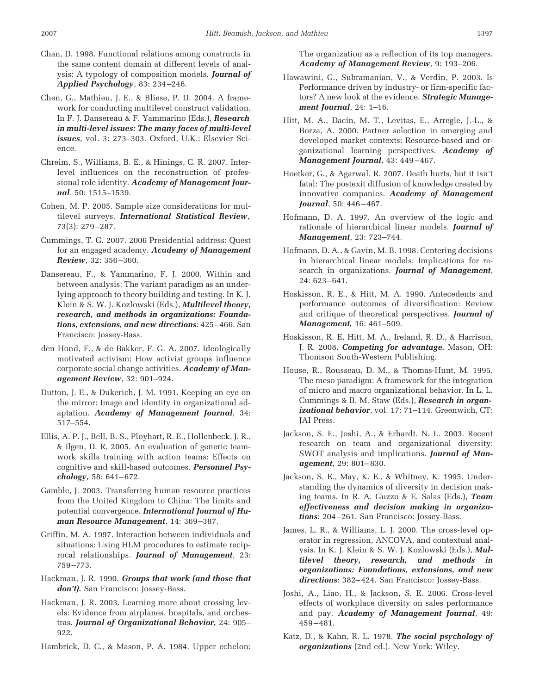- Chan, D. 1998. Functional relations among constructs in the same content domain at different levels of analysis: A typology of composition models. *Journal of Applied Psychology*, 83: 234 –246.
- Chen, G., Mathieu, J. E., & Bliese, P. D. 2004. A framework for conducting multilevel construct validation. In F. J. Dansereau & F. Yammarino (Eds.), *Research in multi-level issues: The many faces of multi-level issues*, vol. 3: 273–303. Oxford, U.K.: Elsevier Science.
- Chreim, S., Williams, B. E., & Hinings, C. R. 2007. Interlevel influences on the reconstruction of professional role identity. *Academy of Management Journal*, 50: 1515–1539.
- Cohen, M. P. 2005. Sample size considerations for multilevel surveys. *International Statistical Review*, 73(3): 279 –287.
- Cummings, T. G. 2007. 2006 Presidential address: Quest for an engaged academy. *Academy of Management Review*, 32: 356 –360.
- Dansereau, F., & Yammarino, F. J. 2000. Within and between analysis: The variant paradigm as an underlying approach to theory building and testing. In K. J. Klein & S. W. J. Kozlowski (Eds.), *Multilevel theory, research, and methods in organizations: Foundations, extensions, and new directions*: 425– 466. San Francisco: Jossey-Bass.
- den Hond, F., & de Bakker, F. G. A. 2007. Ideologically motivated activism: How activist groups influence corporate social change activities. *Academy of Management Review*, 32: 901–924.
- Dutton, J. E., & Dukerich, J. M. 1991. Keeping an eye on the mirror: Image and identity in organizational adaptation. *Academy of Management Journal*, 34: 517–554.
- Ellis, A. P. J., Bell, B. S., Ployhart, R. E., Hollenbeck, J. R., & Ilgen, D. R. 2005. An evaluation of generic teamwork skills training with action teams: Effects on cognitive and skill-based outcomes. *Personnel Psychology,* 58: 641– 672.
- Gamble, J. 2003. Transferring human resource practices from the United Kingdom to China: The limits and potential convergence. *International Journal of Human Resource Management*, 14: 369 –387.
- Griffin, M. A. 1997. Interaction between individuals and situations: Using HLM procedures to estimate reciprocal relationships. *Journal of Management*, 23: 759 –773.
- Hackman, J. R. 1990. *Groups that work (and those that don't).* San Francisco: Jossey-Bass.
- Hackman, J. R. 2003. Learning more about crossing levels: Evidence from airplanes, hospitals, and orchestras. *Journal of Organizational Behavior,* 24: 905– 922.
- Hambrick, D. C., & Mason, P. A. 1984. Upper echelon:

The organization as a reflection of its top managers. *Academy of Management Review*, 9: 193–206.

- Hawawini, G., Subramanian, V., & Verdin, P. 2003. Is Performance driven by industry- or firm-specific factors? A new look at the evidence. *Strategic Management Journal*, 24: 1–16.
- Hitt, M. A., Dacin, M. T., Levitas, E., Arregle, J.-L., & Borza, A. 2000. Partner selection in emerging and developed market contexts: Resource-based and organizational learning perspectives. *Academy of Management Journal*, 43: 449 – 467.
- Hoetker, G., & Agarwal, R. 2007. Death hurts, but it isn't fatal: The postexit diffusion of knowledge created by innovative companies. *Academy of Management Journal*, 50: 446-467.
- Hofmann, D. A. 1997. An overview of the logic and rationale of hierarchical linear models. *Journal of Management*, 23: 723–744.
- Hofmann, D. A., & Gavin, M. B. 1998. Centering decisions in hierarchical linear models: Implications for research in organizations. *Journal of Management*, 24: 623– 641.
- Hoskisson, R. E., & Hitt, M. A. 1990. Antecedents and performance outcomes of diversification: Review and critique of theoretical perspectives. *Journal of Management,* 16: 461–509.
- Hoskisson, R. E, Hitt, M. A., Ireland, R. D., & Harrison, J. R. 2008. *Competing for advantage.* Mason, OH: Thomson South-Western Publishing.
- House, R., Rousseau, D. M., & Thomas-Hunt, M. 1995. The meso paradigm: A framework for the integration of micro and macro organizational behavior. In L. L. Cummings & B. M. Staw (Eds.), *Research in organizational behavior*, vol. 17: 71–114. Greenwich, CT: JAI Press.
- Jackson, S. E., Joshi, A., & Erhardt, N. L. 2003. Recent research on team and organizational diversity: SWOT analysis and implications. *Journal of Management*, 29: 801– 830.
- Jackson, S. E., May, K. E., & Whitney, K. 1995. Understanding the dynamics of diversity in decision making teams. In R. A. Guzzo & E. Salas (Eds.), *Team effectiveness and decision making in organizations*: 204 –261. San Francisco: Jossey-Bass.
- James, L. R., & Williams, L. J. 2000. The cross-level operator in regression, ANCOVA, and contextual analysis. In K. J. Klein & S. W. J. Kozlowski (Eds.), *Multilevel theory, research, and methods in organizations: Foundations, extensions, and new directions*: 382– 424. San Francisco: Jossey-Bass.
- Joshi, A., Liao, H., & Jackson, S. E. 2006. Cross-level effects of workplace diversity on sales performance and pay. *Academy of Management Journal*, 49: 459 – 481.
- Katz, D., & Kahn, R. L. 1978. *The social psychology of organizations* (2nd ed.). New York: Wiley.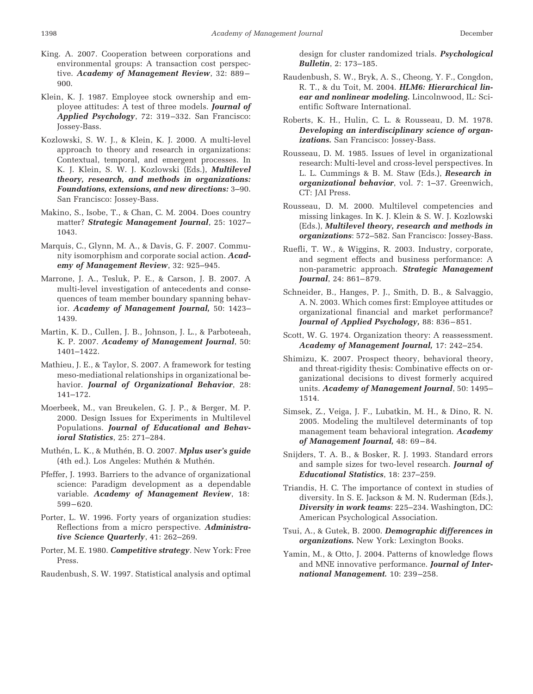- King. A. 2007. Cooperation between corporations and environmental groups: A transaction cost perspective. *Academy of Management Review*, 32: 889 – 900.
- Klein, K. J. 1987. Employee stock ownership and employee attitudes: A test of three models. *Journal of Applied Psychology*, 72: 319 –332. San Francisco: Jossey-Bass.
- Kozlowski, S. W. J., & Klein, K. J. 2000. A multi-level approach to theory and research in organizations: Contextual, temporal, and emergent processes. In K. J. Klein, S. W. J. Kozlowski (Eds.), *Multilevel theory, research, and methods in organizations: Foundations, extensions, and new directions:* 3–90. San Francisco: Jossey-Bass.
- Makino, S., Isobe, T., & Chan, C. M. 2004. Does country matter? *Strategic Management Journal*, 25: 1027– 1043.
- Marquis, C., Glynn, M. A., & Davis, G. F. 2007. Community isomorphism and corporate social action. *Academy of Management Review*, 32: 925–945.
- Marrone, J. A., Tesluk, P. E., & Carson, J. B. 2007. A multi-level investigation of antecedents and consequences of team member boundary spanning behavior. *Academy of Management Journal,* 50: 1423– 1439.
- Martin, K. D., Cullen, J. B., Johnson, J. L., & Parboteeah, K. P. 2007. *Academy of Management Journal*, 50: 1401–1422.
- Mathieu, J. E., & Taylor, S. 2007. A framework for testing meso-mediational relationships in organizational behavior. *Journal of Organizational Behavior*, 28: 141–172.
- Moerbeek, M., van Breukelen, G. J. P., & Berger, M. P. 2000. Design Issues for Experiments in Multilevel Populations. *Journal of Educational and Behavioral Statistics*, 25: 271–284.
- Muthén, L. K., & Muthén, B. O. 2007. *Mplus user's guide* (4th ed.). Los Angeles: Muthén & Muthén.
- Pfeffer, J. 1993. Barriers to the advance of organizational science: Paradigm development as a dependable variable. *Academy of Management Review*, 18: 599 – 620.
- Porter, L. W. 1996. Forty years of organization studies: Reflections from a micro perspective. *Administrative Science Quarterly*, 41: 262–269.
- Porter, M. E. 1980. *Competitive strategy*. New York: Free Press.
- Raudenbush, S. W. 1997. Statistical analysis and optimal

design for cluster randomized trials. *Psychological Bulletin*, 2: 173–185.

- Raudenbush, S. W., Bryk, A. S., Cheong, Y. F., Congdon, R. T., & du Toit, M. 2004. *HLM6: Hierarchical linear and nonlinear modeling.* Lincolnwood, IL: Scientific Software International.
- Roberts, K. H., Hulin, C. L. & Rousseau, D. M. 1978. *Developing an interdisciplinary science of organizations.* San Francisco: Jossey-Bass.
- Rousseau, D. M. 1985. Issues of level in organizational research: Multi-level and cross-level perspectives. In L. L. Cummings & B. M. Staw (Eds.), *Research in organizational behavior*, vol. 7: 1–37. Greenwich, CT: JAI Press.
- Rousseau, D. M. 2000. Multilevel competencies and missing linkages. In K. J. Klein & S. W. J. Kozlowski (Eds.), *Multilevel theory, research and methods in organizations*: 572–582. San Francisco: Jossey-Bass.
- Ruefli, T. W., & Wiggins, R. 2003. Industry, corporate, and segment effects and business performance: A non-parametric approach. *Strategic Management Journal*, 24: 861– 879.
- Schneider, B., Hanges, P. J., Smith, D. B., & Salvaggio, A. N. 2003. Which comes first: Employee attitudes or organizational financial and market performance? *Journal of Applied Psychology,* 88: 836 – 851.
- Scott, W. G. 1974. Organization theory: A reassessment. *Academy of Management Journal,* 17: 242–254.
- Shimizu, K. 2007. Prospect theory, behavioral theory, and threat-rigidity thesis: Combinative effects on organizational decisions to divest formerly acquired units. *Academy of Management Journal*, 50: 1495– 1514.
- Simsek, Z., Veiga, J. F., Lubatkin, M. H., & Dino, R. N. 2005. Modeling the multilevel determinants of top management team behavioral integration. *Academy of Management Journal,* 48: 69 – 84.
- Snijders, T. A. B., & Bosker, R. J. 1993. Standard errors and sample sizes for two-level research. *Journal of Educational Statistics*, 18: 237–259.
- Triandis, H. C. The importance of context in studies of diversity. In S. E. Jackson & M. N. Ruderman (Eds.), *Diversity in work teams*: 225–234. Washington, DC: American Psychological Association.
- Tsui, A., & Gutek, B. 2000. *Demographic differences in organizations.* New York: Lexington Books.
- Yamin, M., & Otto, J. 2004. Patterns of knowledge flows and MNE innovative performance. *Journal of International Management.* 10: 239 –258.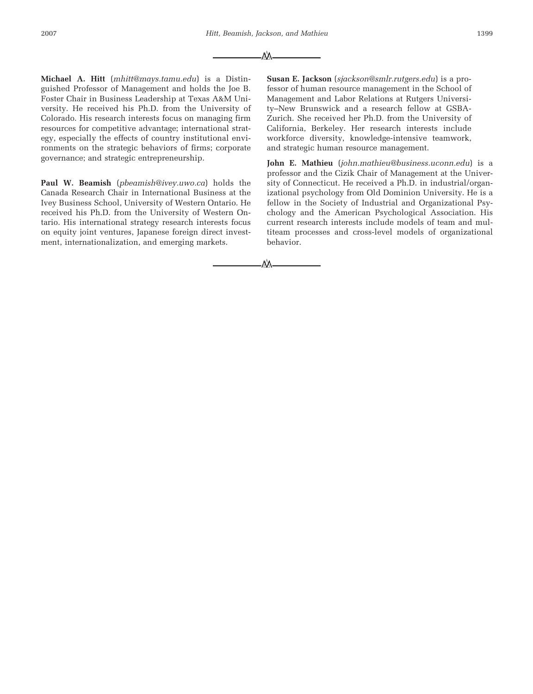٨W

## .XX.

**Michael A. Hitt** (*mhitt@mays.tamu.edu*) is a Distinguished Professor of Management and holds the Joe B. Foster Chair in Business Leadership at Texas A&M University. He received his Ph.D. from the University of Colorado. His research interests focus on managing firm resources for competitive advantage; international strategy, especially the effects of country institutional environments on the strategic behaviors of firms; corporate governance; and strategic entrepreneurship.

**Paul W. Beamish** (*pbeamish@ivey.uwo.ca*) holds the Canada Research Chair in International Business at the Ivey Business School, University of Western Ontario. He received his Ph.D. from the University of Western Ontario. His international strategy research interests focus on equity joint ventures, Japanese foreign direct investment, internationalization, and emerging markets.

**Susan E. Jackson** (*sjackson@smlr.rutgers.edu*) is a professor of human resource management in the School of Management and Labor Relations at Rutgers University–New Brunswick and a research fellow at GSBA-Zurich. She received her Ph.D. from the University of California, Berkeley. Her research interests include workforce diversity, knowledge-intensive teamwork, and strategic human resource management.

**John E. Mathieu** (*john.mathieu@business.uconn.edu*) is a professor and the Cizik Chair of Management at the University of Connecticut. He received a Ph.D. in industrial/organizational psychology from Old Dominion University. He is a fellow in the Society of Industrial and Organizational Psychology and the American Psychological Association. His current research interests include models of team and multiteam processes and cross-level models of organizational behavior.